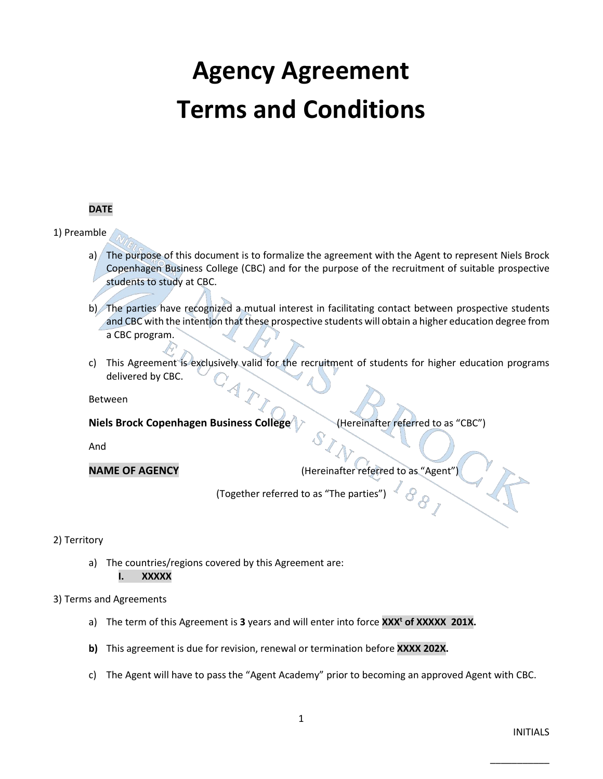# **Agency Agreement Terms and Conditions**

#### **DATE**

#### 1) Preamble

- a) The purpose of this document is to formalize the agreement with the Agent to represent Niels Brock Copenhagen Business College (CBC) and for the purpose of the recruitment of suitable prospective students to study at CBC.
- b) The parties have recognized a mutual interest in facilitating contact between prospective students and CBC with the intention that these prospective students will obtain a higher education degree from a CBC program.
- c) This Agreement is exclusively valid for the recruitment of students for higher education programs delivered by CBC.

#### Between

**Niels Brock Copenhagen Business College** (A) (Hereinafter referred to as "CBC")

And

**NAME OF AGENCY** (Hereinafter referred to as "Agent")

(Together referred to as "The parties")

# 2) Territory

a) The countries/regions covered by this Agreement are: **I. XXXXX**

#### 3) Terms and Agreements

- a) The term of this Agreement is **3** years and will enter into force **XXX<sup>t</sup> of XXXXX 201X.**
- **b)** This agreement is due for revision, renewal or termination before **XXXX 202X.**
- c) The Agent will have to pass the "Agent Academy" prior to becoming an approved Agent with CBC.

1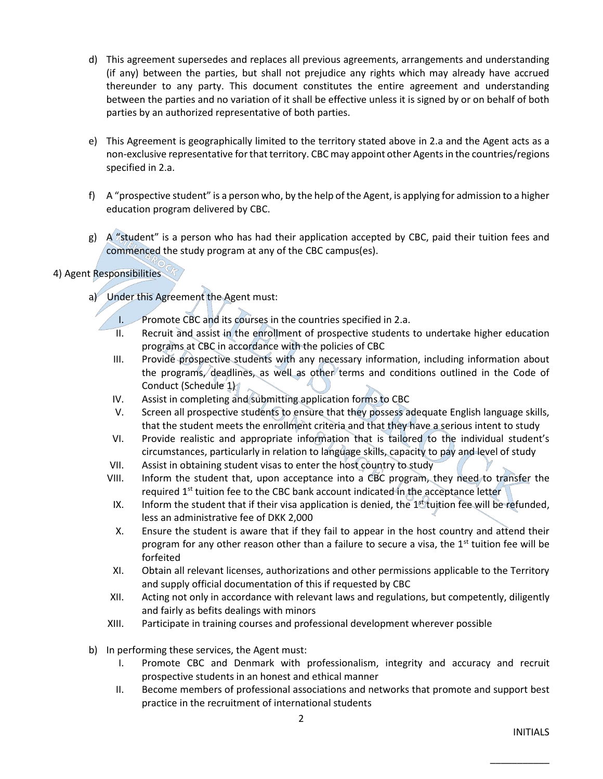- d) This agreement supersedes and replaces all previous agreements, arrangements and understanding (if any) between the parties, but shall not prejudice any rights which may already have accrued thereunder to any party. This document constitutes the entire agreement and understanding between the parties and no variation of it shall be effective unless it is signed by or on behalf of both parties by an authorized representative of both parties.
- e) This Agreement is geographically limited to the territory stated above in 2.a and the Agent acts as a non-exclusive representative for that territory. CBC may appoint other Agents in the countries/regions specified in 2.a.
- f) A "prospective student" is a person who, by the help of the Agent, is applying for admission to a higher education program delivered by CBC.
- g)  $A$  "student" is a person who has had their application accepted by CBC, paid their tuition fees and commenced the study program at any of the CBC campus(es).
- 4) Agent Responsibilities
	- a) Under this Agreement the Agent must:
		- I. Promote CBC and its courses in the countries specified in 2.a.
		- II. Recruit and assist in the enrollment of prospective students to undertake higher education programs at CBC in accordance with the policies of CBC
		- III. Provide prospective students with any necessary information, including information about the programs, deadlines, as well as other terms and conditions outlined in the Code of Conduct (Schedule 1)
		- IV. Assist in completing and submitting application forms to CBC
		- V. Screen all prospective students to ensure that they possess adequate English language skills, that the student meets the enrollment criteria and that they have a serious intent to study
		- VI. Provide realistic and appropriate information that is tailored to the individual student's circumstances, particularly in relation to language skills, capacity to pay and level of study
		- VII. Assist in obtaining student visas to enter the host country to study
		- VIII. Inform the student that, upon acceptance into a CBC program, they need to transfer the required 1<sup>st</sup> tuition fee to the CBC bank account indicated in the acceptance letter
		- IX. Inform the student that if their visa application is denied, the  $1<sup>st</sup>$  tuition fee will be refunded, less an administrative fee of DKK 2,000
		- X. Ensure the student is aware that if they fail to appear in the host country and attend their program for any other reason other than a failure to secure a visa, the  $1<sup>st</sup>$  tuition fee will be forfeited
		- XI. Obtain all relevant licenses, authorizations and other permissions applicable to the Territory and supply official documentation of this if requested by CBC
		- XII. Acting not only in accordance with relevant laws and regulations, but competently, diligently and fairly as befits dealings with minors
		- XIII. Participate in training courses and professional development wherever possible
	- b) In performing these services, the Agent must:
		- I. Promote CBC and Denmark with professionalism, integrity and accuracy and recruit prospective students in an honest and ethical manner
		- II. Become members of professional associations and networks that promote and support best practice in the recruitment of international students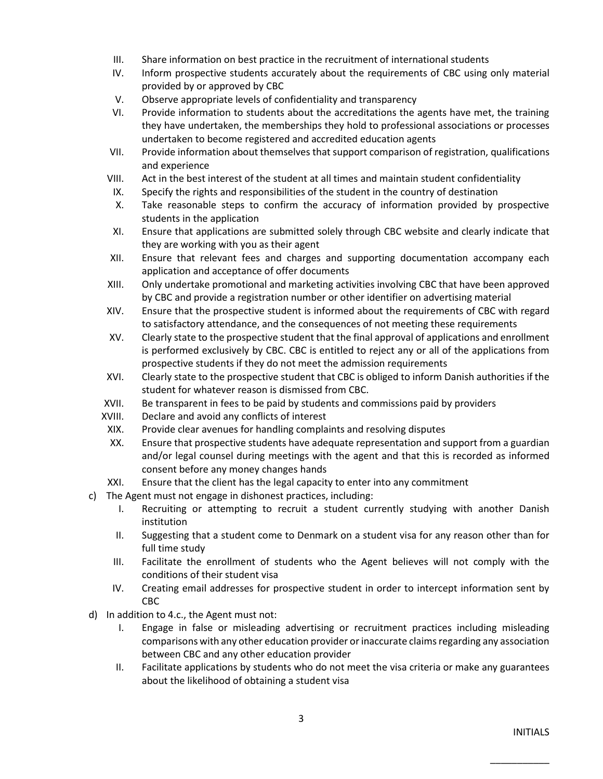- III. Share information on best practice in the recruitment of international students
- IV. Inform prospective students accurately about the requirements of CBC using only material provided by or approved by CBC
- V. Observe appropriate levels of confidentiality and transparency
- VI. Provide information to students about the accreditations the agents have met, the training they have undertaken, the memberships they hold to professional associations or processes undertaken to become registered and accredited education agents
- VII. Provide information about themselves that support comparison of registration, qualifications and experience
- VIII. Act in the best interest of the student at all times and maintain student confidentiality
- IX. Specify the rights and responsibilities of the student in the country of destination
- X. Take reasonable steps to confirm the accuracy of information provided by prospective students in the application
- XI. Ensure that applications are submitted solely through CBC website and clearly indicate that they are working with you as their agent
- XII. Ensure that relevant fees and charges and supporting documentation accompany each application and acceptance of offer documents
- XIII. Only undertake promotional and marketing activities involving CBC that have been approved by CBC and provide a registration number or other identifier on advertising material
- XIV. Ensure that the prospective student is informed about the requirements of CBC with regard to satisfactory attendance, and the consequences of not meeting these requirements
- XV. Clearly state to the prospective student that the final approval of applications and enrollment is performed exclusively by CBC. CBC is entitled to reject any or all of the applications from prospective students if they do not meet the admission requirements
- XVI. Clearly state to the prospective student that CBC is obliged to inform Danish authorities if the student for whatever reason is dismissed from CBC.
- XVII. Be transparent in fees to be paid by students and commissions paid by providers
- XVIII. Declare and avoid any conflicts of interest
- XIX. Provide clear avenues for handling complaints and resolving disputes
- XX. Ensure that prospective students have adequate representation and support from a guardian and/or legal counsel during meetings with the agent and that this is recorded as informed consent before any money changes hands
- XXI. Ensure that the client has the legal capacity to enter into any commitment
- c) The Agent must not engage in dishonest practices, including:
	- I. Recruiting or attempting to recruit a student currently studying with another Danish institution
	- II. Suggesting that a student come to Denmark on a student visa for any reason other than for full time study
	- III. Facilitate the enrollment of students who the Agent believes will not comply with the conditions of their student visa
	- IV. Creating email addresses for prospective student in order to intercept information sent by CBC
- d) In addition to 4.c., the Agent must not:
	- I. Engage in false or misleading advertising or recruitment practices including misleading comparisons with any other education provider or inaccurate claims regarding any association between CBC and any other education provider
	- II. Facilitate applications by students who do not meet the visa criteria or make any guarantees about the likelihood of obtaining a student visa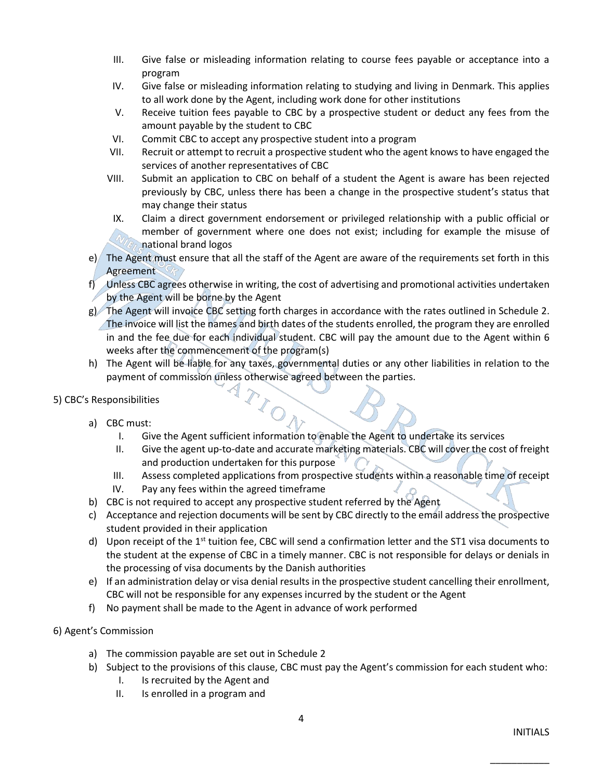- III. Give false or misleading information relating to course fees payable or acceptance into a program
- IV. Give false or misleading information relating to studying and living in Denmark. This applies to all work done by the Agent, including work done for other institutions
- V. Receive tuition fees payable to CBC by a prospective student or deduct any fees from the amount payable by the student to CBC
- VI. Commit CBC to accept any prospective student into a program
- VII. Recruit or attempt to recruit a prospective student who the agent knows to have engaged the services of another representatives of CBC
- VIII. Submit an application to CBC on behalf of a student the Agent is aware has been rejected previously by CBC, unless there has been a change in the prospective student's status that may change their status
- IX. Claim a direct government endorsement or privileged relationship with a public official or member of government where one does not exist; including for example the misuse of national brand logos
- e) The Agent must ensure that all the staff of the Agent are aware of the requirements set forth in this Agreement
- f) Unless CBC agrees otherwise in writing, the cost of advertising and promotional activities undertaken by the Agent will be borne by the Agent
- g) The Agent will invoice CBC setting forth charges in accordance with the rates outlined in Schedule 2. The invoice will list the names and birth dates of the students enrolled, the program they are enrolled in and the fee due for each individual student. CBC will pay the amount due to the Agent within 6 weeks after the commencement of the program(s)
- h) The Agent will be liable for any taxes, governmental duties or any other liabilities in relation to the payment of commission unless otherwise agreed between the parties.

# 5) CBC's Responsibilities

- a) CBC must:
	- I. Give the Agent sufficient information to enable the Agent to undertake its services
	- II. Give the agent up-to-date and accurate marketing materials. CBC will cover the cost of freight and production undertaken for this purpose
	- III. Assess completed applications from prospective students within a reasonable time of receipt
	- IV. Pay any fees within the agreed timeframe
- b) CBC is not required to accept any prospective student referred by the Agent

ZO

- c) Acceptance and rejection documents will be sent by CBC directly to the email address the prospective student provided in their application
- d) Upon receipt of the  $1<sup>st</sup>$  tuition fee, CBC will send a confirmation letter and the ST1 visa documents to the student at the expense of CBC in a timely manner. CBC is not responsible for delays or denials in the processing of visa documents by the Danish authorities
- e) If an administration delay or visa denial results in the prospective student cancelling their enrollment, CBC will not be responsible for any expenses incurred by the student or the Agent
- f) No payment shall be made to the Agent in advance of work performed

# 6) Agent's Commission

- a) The commission payable are set out in Schedule 2
- b) Subject to the provisions of this clause, CBC must pay the Agent's commission for each student who:
	- I. Is recruited by the Agent and
	- II. Is enrolled in a program and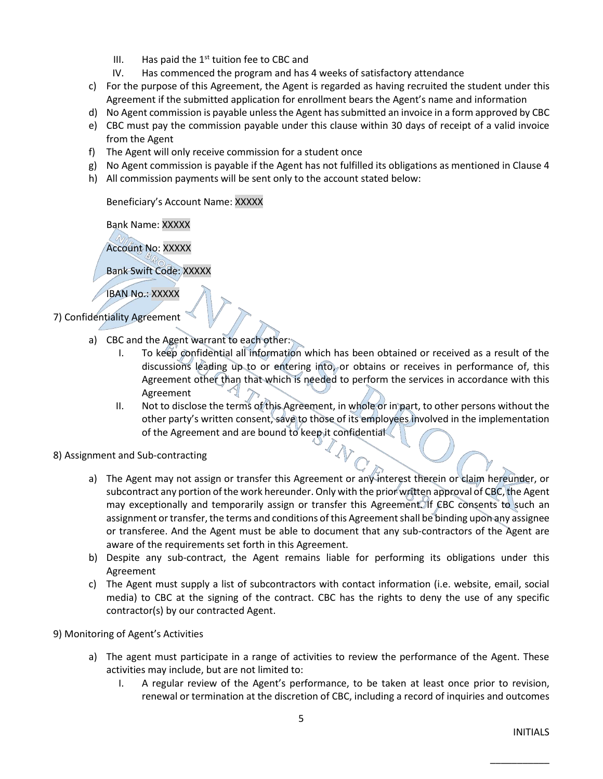- III. Has paid the  $1<sup>st</sup>$  tuition fee to CBC and
- IV. Has commenced the program and has 4 weeks of satisfactory attendance
- c) For the purpose of this Agreement, the Agent is regarded as having recruited the student under this Agreement if the submitted application for enrollment bears the Agent's name and information
- d) No Agent commission is payable unless the Agent has submitted an invoice in a form approved by CBC
- e) CBC must pay the commission payable under this clause within 30 days of receipt of a valid invoice from the Agent
- f) The Agent will only receive commission for a student once
- g) No Agent commission is payable if the Agent has not fulfilled its obligations as mentioned in Clause 4
- h) All commission payments will be sent only to the account stated below:

#### Beneficiary's Account Name: XXXXX

Bank Name: XXXXX

Account No: XXXXX

Bank Swift Code: XXXXX

IBAN No.: XXXXX

- 7) Confidentiality Agreement
	- a) CBC and the Agent warrant to each other:
		- I. To keep confidential all information which has been obtained or received as a result of the discussions leading up to or entering into, or obtains or receives in performance of, this Agreement other than that which is needed to perform the services in accordance with this Agreement
		- II. Not to disclose the terms of this Agreement, in whole or in part, to other persons without the other party's written consent, save to those of its employees involved in the implementation of the Agreement and are bound to keep it confidential
- 8) Assignment and Sub-contracting
	- a) The Agent may not assign or transfer this Agreement or any interest therein or claim hereunder, or subcontract any portion of the work hereunder. Only with the prior written approval of CBC, the Agent may exceptionally and temporarily assign or transfer this Agreement. If CBC consents to such an assignment or transfer, the terms and conditions of this Agreement shall be binding upon any assignee or transferee. And the Agent must be able to document that any sub-contractors of the Agent are aware of the requirements set forth in this Agreement.
	- b) Despite any sub-contract, the Agent remains liable for performing its obligations under this Agreement
	- c) The Agent must supply a list of subcontractors with contact information (i.e. website, email, social media) to CBC at the signing of the contract. CBC has the rights to deny the use of any specific contractor(s) by our contracted Agent.

#### 9) Monitoring of Agent's Activities

- a) The agent must participate in a range of activities to review the performance of the Agent. These activities may include, but are not limited to:
	- I. A regular review of the Agent's performance, to be taken at least once prior to revision, renewal or termination at the discretion of CBC, including a record of inquiries and outcomes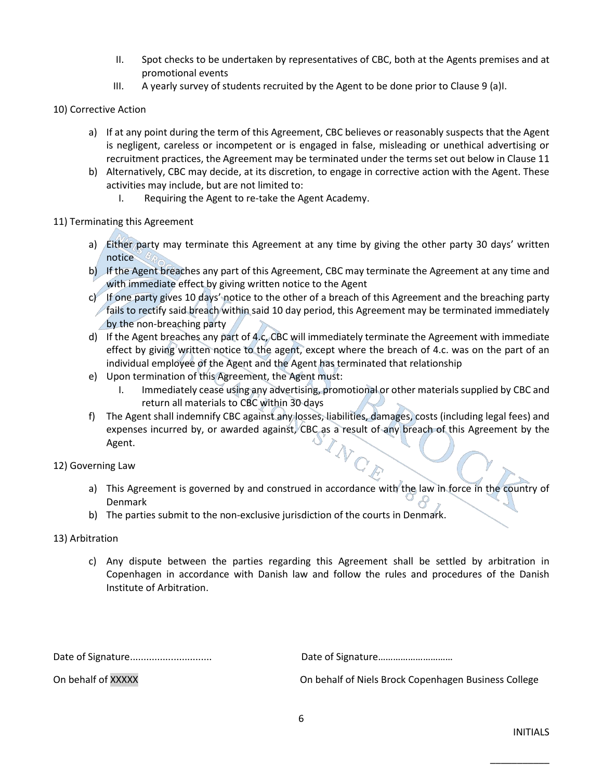- II. Spot checks to be undertaken by representatives of CBC, both at the Agents premises and at promotional events
- III. A yearly survey of students recruited by the Agent to be done prior to Clause 9 (a)I.

#### 10) Corrective Action

- a) If at any point during the term of this Agreement, CBC believes or reasonably suspects that the Agent is negligent, careless or incompetent or is engaged in false, misleading or unethical advertising or recruitment practices, the Agreement may be terminated under the terms set out below in Clause 11
- b) Alternatively, CBC may decide, at its discretion, to engage in corrective action with the Agent. These activities may include, but are not limited to:
	- I. Requiring the Agent to re-take the Agent Academy.

#### 11) Terminating this Agreement

- a) Either party may terminate this Agreement at any time by giving the other party 30 days' written notice
- b) If the Agent breaches any part of this Agreement, CBC may terminate the Agreement at any time and with immediate effect by giving written notice to the Agent
- c) If one party gives 10 days' notice to the other of a breach of this Agreement and the breaching party fails to rectify said breach within said 10 day period, this Agreement may be terminated immediately by the non-breaching party
- d) If the Agent breaches any part of 4.c, CBC will immediately terminate the Agreement with immediate effect by giving written notice to the agent, except where the breach of 4.c. was on the part of an individual employee of the Agent and the Agent has terminated that relationship
- e) Upon termination of this Agreement, the Agent must:
	- I. Immediately cease using any advertising, promotional or other materials supplied by CBC and return all materials to CBC within 30 days
- f) The Agent shall indemnify CBC against any losses, liabilities, damages, costs (including legal fees) and expenses incurred by, or awarded against, CBC as a result of any breach of this Agreement by the Agent. Agent.

# 12) Governing Law

- a) This Agreement is governed by and construed in accordance with the law in force in the country of Denmark
- b) The parties submit to the non-exclusive jurisdiction of the courts in Denmark.

# 13) Arbitration

c) Any dispute between the parties regarding this Agreement shall be settled by arbitration in Copenhagen in accordance with Danish law and follow the rules and procedures of the Danish Institute of Arbitration.

Date of Signature.............................. Date of Signature…………………………

On behalf of XXXXX On behalf of Niels Brock Copenhagen Business College